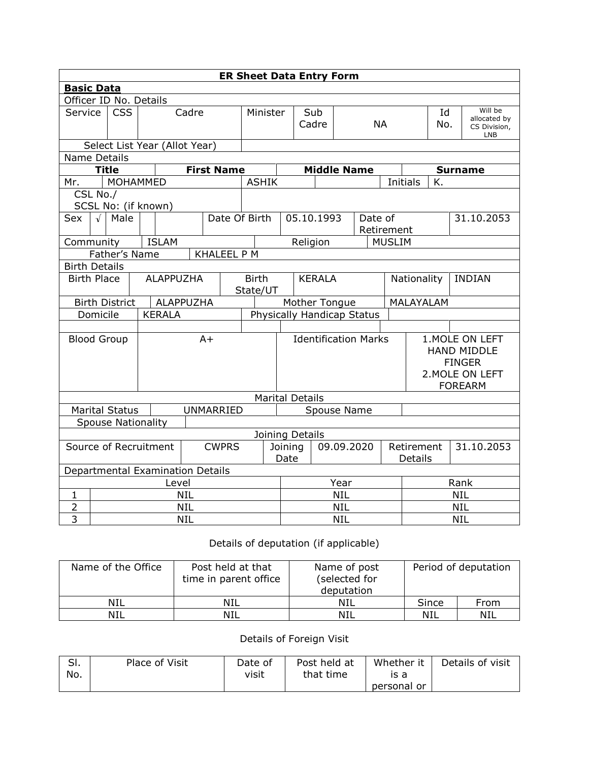| <b>ER Sheet Data Entry Form</b>       |                                        |                           |  |  |                                           |            |                               |                            |                             |                        |                                     |            |  |               |                 |                                                                                             |                                                       |  |
|---------------------------------------|----------------------------------------|---------------------------|--|--|-------------------------------------------|------------|-------------------------------|----------------------------|-----------------------------|------------------------|-------------------------------------|------------|--|---------------|-----------------|---------------------------------------------------------------------------------------------|-------------------------------------------------------|--|
| <b>Basic Data</b>                     |                                        |                           |  |  |                                           |            |                               |                            |                             |                        |                                     |            |  |               |                 |                                                                                             |                                                       |  |
| Officer ID No. Details                |                                        |                           |  |  |                                           |            |                               |                            |                             |                        |                                     |            |  |               |                 |                                                                                             |                                                       |  |
| Service                               | <b>CSS</b>                             |                           |  |  | Cadre                                     |            | Minister                      |                            |                             | Sub<br>Cadre           | <b>NA</b>                           |            |  |               | Id<br>No.       |                                                                                             | Will be<br>allocated by<br>CS Division,<br><b>LNB</b> |  |
| Select List Year (Allot Year)         |                                        |                           |  |  |                                           |            |                               |                            |                             |                        |                                     |            |  |               |                 |                                                                                             |                                                       |  |
| <b>Name Details</b>                   |                                        |                           |  |  |                                           |            |                               |                            |                             |                        |                                     |            |  |               |                 |                                                                                             |                                                       |  |
|                                       |                                        | <b>Title</b>              |  |  |                                           |            | <b>First Name</b>             |                            |                             |                        | <b>Middle Name</b>                  |            |  |               |                 | <b>Surname</b>                                                                              |                                                       |  |
| Mr.                                   |                                        | MOHAMMED                  |  |  |                                           |            |                               | <b>ASHIK</b>               |                             |                        |                                     |            |  |               | <b>Initials</b> | K.                                                                                          |                                                       |  |
|                                       | CSL No./                               | SCSL No: (if known)       |  |  |                                           |            |                               |                            |                             |                        |                                     |            |  |               |                 |                                                                                             |                                                       |  |
| Sex                                   | Date Of Birth<br>$\sqrt{ }$<br>Male    |                           |  |  |                                           |            |                               | 05.10.1993                 |                             | Date of<br>Retirement  |                                     |            |  |               | 31.10.2053      |                                                                                             |                                                       |  |
| Community                             |                                        |                           |  |  | <b>ISLAM</b>                              |            |                               |                            |                             |                        | Religion                            |            |  | <b>MUSLIM</b> |                 |                                                                                             |                                                       |  |
|                                       |                                        | Father's Name             |  |  |                                           |            | <b>KHALEEL P M</b>            |                            |                             |                        |                                     |            |  |               |                 |                                                                                             |                                                       |  |
| <b>Birth Details</b>                  |                                        |                           |  |  |                                           |            |                               |                            |                             |                        |                                     |            |  |               |                 |                                                                                             |                                                       |  |
|                                       | <b>ALAPPUZHA</b><br><b>Birth Place</b> |                           |  |  | <b>KERALA</b><br><b>Birth</b><br>State/UT |            |                               |                            |                             |                        | Nationality<br><b>INDIAN</b>        |            |  |               |                 |                                                                                             |                                                       |  |
|                                       |                                        | <b>Birth District</b>     |  |  | ALAPPUZHA                                 |            |                               | Mother Tongue              |                             |                        |                                     |            |  | MALAYALAM     |                 |                                                                                             |                                                       |  |
|                                       | Domicile                               |                           |  |  | <b>KERALA</b>                             |            |                               | Physically Handicap Status |                             |                        |                                     |            |  |               |                 |                                                                                             |                                                       |  |
|                                       |                                        |                           |  |  |                                           |            |                               |                            |                             |                        |                                     |            |  |               |                 |                                                                                             |                                                       |  |
| <b>Blood Group</b>                    |                                        |                           |  |  |                                           | $A+$       |                               |                            | <b>Identification Marks</b> |                        |                                     |            |  |               |                 | 1. MOLE ON LEFT<br><b>HAND MIDDLE</b><br><b>FINGER</b><br>2. MOLE ON LEFT<br><b>FOREARM</b> |                                                       |  |
|                                       |                                        |                           |  |  |                                           |            |                               |                            |                             | <b>Marital Details</b> |                                     |            |  |               |                 |                                                                                             |                                                       |  |
|                                       |                                        | <b>Marital Status</b>     |  |  |                                           |            | <b>UNMARRIED</b>              |                            |                             |                        | Spouse Name                         |            |  |               |                 |                                                                                             |                                                       |  |
|                                       |                                        | <b>Spouse Nationality</b> |  |  |                                           |            |                               |                            |                             |                        |                                     |            |  |               |                 |                                                                                             |                                                       |  |
| Joining Details                       |                                        |                           |  |  |                                           |            |                               |                            |                             |                        |                                     |            |  |               |                 |                                                                                             |                                                       |  |
| Source of Recruitment<br><b>CWPRS</b> |                                        |                           |  |  |                                           |            | 09.09.2020<br>Joining<br>Date |                            |                             |                        | Retirement<br>31.10.2053<br>Details |            |  |               |                 |                                                                                             |                                                       |  |
| Departmental Examination Details      |                                        |                           |  |  |                                           |            |                               |                            |                             |                        |                                     |            |  |               |                 |                                                                                             |                                                       |  |
| Level                                 |                                        |                           |  |  |                                           |            |                               |                            | Year                        |                        |                                     |            |  | Rank          |                 |                                                                                             |                                                       |  |
| 1                                     |                                        |                           |  |  |                                           | <b>NIL</b> |                               |                            |                             | <b>NIL</b>             |                                     |            |  |               | <b>NIL</b>      |                                                                                             |                                                       |  |
| 2                                     |                                        |                           |  |  |                                           | <b>NIL</b> |                               |                            |                             |                        |                                     | <b>NIL</b> |  |               |                 | <b>NIL</b>                                                                                  |                                                       |  |
| $\overline{3}$                        | <b>NIL</b>                             |                           |  |  |                                           |            |                               | <b>NIL</b>                 |                             |                        |                                     | <b>NIL</b> |  |               |                 |                                                                                             |                                                       |  |

## Details of deputation (if applicable)

| Name of the Office | Post held at that<br>time in parent office | Name of post<br>selected for)<br>deputation | Period of deputation |      |  |  |
|--------------------|--------------------------------------------|---------------------------------------------|----------------------|------|--|--|
| <b>NIL</b>         | NIL                                        | NIL                                         | Since                | From |  |  |
| NIL                | NIL                                        | NIL                                         | NIL                  | NIL  |  |  |

## Details of Foreign Visit

| CI<br>וכ.<br>No. | Place of Visit | Date of<br>visit | Post held at<br>that time | Whether it<br>ıs a | Details of visit |
|------------------|----------------|------------------|---------------------------|--------------------|------------------|
|                  |                |                  |                           | personal or        |                  |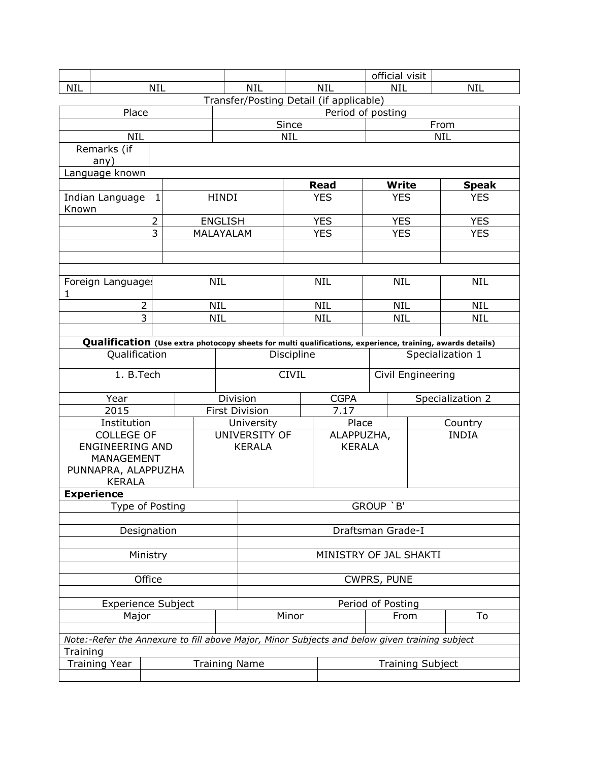|                           |                        |                     |  |            |                |                                         |              | official visit                                                                                                                                                                                                                                                                                                    |             |                          |            |                                                                                                           |  |  |
|---------------------------|------------------------|---------------------|--|------------|----------------|-----------------------------------------|--------------|-------------------------------------------------------------------------------------------------------------------------------------------------------------------------------------------------------------------------------------------------------------------------------------------------------------------|-------------|--------------------------|------------|-----------------------------------------------------------------------------------------------------------|--|--|
| <b>NIL</b>                |                        | <b>NIL</b>          |  |            |                | <b>NIL</b>                              |              |                                                                                                                                                                                                                                                                                                                   | <b>NIL</b>  | <b>NIL</b>               |            | <b>NIL</b>                                                                                                |  |  |
|                           |                        |                     |  |            |                | Transfer/Posting Detail (if applicable) |              |                                                                                                                                                                                                                                                                                                                   |             |                          |            |                                                                                                           |  |  |
|                           | Place                  |                     |  |            |                | Period of posting                       |              |                                                                                                                                                                                                                                                                                                                   |             |                          |            |                                                                                                           |  |  |
|                           |                        |                     |  |            |                |                                         | Since        |                                                                                                                                                                                                                                                                                                                   |             |                          | From       |                                                                                                           |  |  |
|                           | <b>NIL</b>             |                     |  |            |                |                                         | <b>NIL</b>   |                                                                                                                                                                                                                                                                                                                   |             |                          | <b>NIL</b> |                                                                                                           |  |  |
|                           | Remarks (if            |                     |  |            |                |                                         |              |                                                                                                                                                                                                                                                                                                                   |             |                          |            |                                                                                                           |  |  |
|                           | any)                   |                     |  |            |                |                                         |              |                                                                                                                                                                                                                                                                                                                   |             |                          |            |                                                                                                           |  |  |
| Language known            |                        |                     |  |            |                |                                         |              |                                                                                                                                                                                                                                                                                                                   |             |                          |            |                                                                                                           |  |  |
|                           |                        |                     |  |            |                |                                         |              | <b>Read</b>                                                                                                                                                                                                                                                                                                       |             | <b>Write</b>             |            | <b>Speak</b>                                                                                              |  |  |
|                           | Indian Language        | 1                   |  |            | <b>HINDI</b>   |                                         | <b>YES</b>   |                                                                                                                                                                                                                                                                                                                   | <b>YES</b>  |                          | <b>YES</b> |                                                                                                           |  |  |
| Known                     |                        |                     |  |            |                |                                         |              |                                                                                                                                                                                                                                                                                                                   |             |                          |            |                                                                                                           |  |  |
|                           |                        | 2<br>$\overline{3}$ |  |            | <b>ENGLISH</b> |                                         |              | <b>YES</b><br><b>YES</b>                                                                                                                                                                                                                                                                                          |             | <b>YES</b><br><b>YES</b> |            | <b>YES</b><br><b>YES</b>                                                                                  |  |  |
|                           |                        |                     |  | MALAYALAM  |                |                                         |              |                                                                                                                                                                                                                                                                                                                   |             |                          |            |                                                                                                           |  |  |
|                           |                        |                     |  |            |                |                                         |              |                                                                                                                                                                                                                                                                                                                   |             |                          |            |                                                                                                           |  |  |
|                           |                        |                     |  |            |                |                                         |              |                                                                                                                                                                                                                                                                                                                   |             |                          |            |                                                                                                           |  |  |
|                           | Foreign Languages      |                     |  | <b>NIL</b> |                |                                         |              |                                                                                                                                                                                                                                                                                                                   |             | <b>NIL</b>               |            | <b>NIL</b>                                                                                                |  |  |
| 1                         |                        |                     |  |            |                |                                         |              | <b>NIL</b><br><b>NIL</b>                                                                                                                                                                                                                                                                                          |             |                          |            |                                                                                                           |  |  |
|                           |                        | 2                   |  | NIL        |                |                                         |              |                                                                                                                                                                                                                                                                                                                   |             | <b>NIL</b>               |            | <b>NIL</b>                                                                                                |  |  |
|                           | 3                      |                     |  | <b>NIL</b> |                |                                         | <b>NIL</b>   |                                                                                                                                                                                                                                                                                                                   |             | <b>NIL</b>               |            | <b>NIL</b>                                                                                                |  |  |
|                           |                        |                     |  |            |                |                                         |              |                                                                                                                                                                                                                                                                                                                   |             |                          |            |                                                                                                           |  |  |
|                           |                        |                     |  |            |                |                                         |              |                                                                                                                                                                                                                                                                                                                   |             |                          |            | Qualification (Use extra photocopy sheets for multi qualifications, experience, training, awards details) |  |  |
| Qualification             |                        |                     |  |            |                | Discipline                              |              |                                                                                                                                                                                                                                                                                                                   |             |                          |            |                                                                                                           |  |  |
| 1. B.Tech                 |                        |                     |  |            |                |                                         | <b>CIVIL</b> |                                                                                                                                                                                                                                                                                                                   |             |                          |            |                                                                                                           |  |  |
|                           | Year                   |                     |  |            |                | Division                                |              |                                                                                                                                                                                                                                                                                                                   | <b>CGPA</b> |                          |            | Specialization 2                                                                                          |  |  |
|                           | 2015                   |                     |  |            |                | <b>First Division</b><br>7.17           |              |                                                                                                                                                                                                                                                                                                                   |             |                          |            |                                                                                                           |  |  |
|                           | Institution            |                     |  |            |                | University                              |              |                                                                                                                                                                                                                                                                                                                   |             |                          |            | Country                                                                                                   |  |  |
|                           | <b>COLLEGE OF</b>      |                     |  |            |                | UNIVERSITY OF                           |              |                                                                                                                                                                                                                                                                                                                   |             |                          |            | <b>INDIA</b>                                                                                              |  |  |
|                           | <b>ENGINEERING AND</b> |                     |  |            |                | <b>KERALA</b>                           |              |                                                                                                                                                                                                                                                                                                                   |             |                          |            |                                                                                                           |  |  |
|                           | <b>MANAGEMENT</b>      |                     |  |            |                |                                         |              |                                                                                                                                                                                                                                                                                                                   |             |                          |            |                                                                                                           |  |  |
|                           | PUNNAPRA, ALAPPUZHA    |                     |  |            |                |                                         |              |                                                                                                                                                                                                                                                                                                                   |             |                          |            |                                                                                                           |  |  |
|                           | <b>KERALA</b>          |                     |  |            |                |                                         |              |                                                                                                                                                                                                                                                                                                                   |             |                          |            |                                                                                                           |  |  |
|                           | <b>Experience</b>      |                     |  |            |                |                                         |              |                                                                                                                                                                                                                                                                                                                   |             |                          |            |                                                                                                           |  |  |
|                           | Type of Posting        |                     |  |            |                |                                         |              |                                                                                                                                                                                                                                                                                                                   |             |                          |            |                                                                                                           |  |  |
|                           |                        | Designation         |  |            |                |                                         |              |                                                                                                                                                                                                                                                                                                                   |             |                          |            |                                                                                                           |  |  |
|                           |                        |                     |  |            |                |                                         |              |                                                                                                                                                                                                                                                                                                                   |             |                          |            |                                                                                                           |  |  |
|                           |                        | Ministry            |  |            |                |                                         |              |                                                                                                                                                                                                                                                                                                                   |             |                          |            |                                                                                                           |  |  |
|                           |                        |                     |  |            |                |                                         |              |                                                                                                                                                                                                                                                                                                                   |             |                          |            |                                                                                                           |  |  |
| Office                    |                        |                     |  |            |                |                                         |              |                                                                                                                                                                                                                                                                                                                   |             |                          |            |                                                                                                           |  |  |
|                           |                        |                     |  |            |                |                                         |              |                                                                                                                                                                                                                                                                                                                   |             |                          |            |                                                                                                           |  |  |
| <b>Experience Subject</b> |                        |                     |  |            |                |                                         |              |                                                                                                                                                                                                                                                                                                                   |             |                          |            |                                                                                                           |  |  |
| Major                     |                        |                     |  |            |                |                                         | Minor        |                                                                                                                                                                                                                                                                                                                   |             |                          |            | To                                                                                                        |  |  |
|                           |                        |                     |  |            |                |                                         |              |                                                                                                                                                                                                                                                                                                                   |             |                          |            |                                                                                                           |  |  |
|                           |                        |                     |  |            |                |                                         |              |                                                                                                                                                                                                                                                                                                                   |             |                          |            |                                                                                                           |  |  |
| Training                  |                        |                     |  |            |                |                                         |              |                                                                                                                                                                                                                                                                                                                   |             |                          |            |                                                                                                           |  |  |
|                           | <b>Training Year</b>   |                     |  |            |                | <b>Training Name</b>                    |              | Specialization 1<br>Civil Engineering<br>Place<br>ALAPPUZHA,<br><b>KERALA</b><br>GROUP `B'<br>Draftsman Grade-I<br>MINISTRY OF JAL SHAKTI<br>CWPRS, PUNE<br>Period of Posting<br>From<br>Note:-Refer the Annexure to fill above Major, Minor Subjects and below given training subject<br><b>Training Subject</b> |             |                          |            |                                                                                                           |  |  |
|                           |                        |                     |  |            |                |                                         |              |                                                                                                                                                                                                                                                                                                                   |             |                          |            |                                                                                                           |  |  |